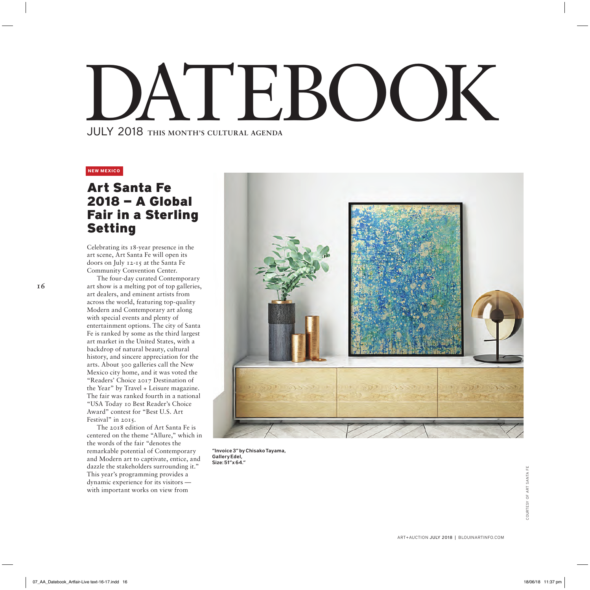## JULY 2018 THIS MONTH'S CULTURAL AGENDA EBOOK

## **NEW MEXICO**

## Art Santa Fe 2018 — A Global Fair in a Sterling Setting

Celebrating its 18-year presence in the art scene, Art Santa Fe will open its doors on July 12-15 at the Santa Fe Community Convention Center.

The four-day curated Contemporary art show is a melting pot of top galleries, art dealers, and eminent artists from across the world, featuring top-quality Modern and Contemporary art along with special events and plenty of entertainment options. The city of Santa Fe is ranked by some as the third largest art market in the United States, with a backdrop of natural beauty, cultural history, and sincere appreciation for the arts. About 300 galleries call the New Mexico city home, and it was voted the "Readers' Choice 2017 Destination of the Year" by Travel + Leisure magazine. The fair was ranked fourth in a national "USA Today 10 Best Reader's Choice Award" contest for "Best U.S. Art Festival" in 2015.

The 2018 edition of Art Santa Fe is centered on the theme "Allure," which in the words of the fair "denotes the remarkable potential of Contemporary and Modern art to captivate, entice, and dazzle the stakeholders surrounding it." This year's programming provides a dynamic experience for its visitors with important works on view from



"Invoice 3" by Chisako Tayama, Gallery Edel, Size: 51"x 64."